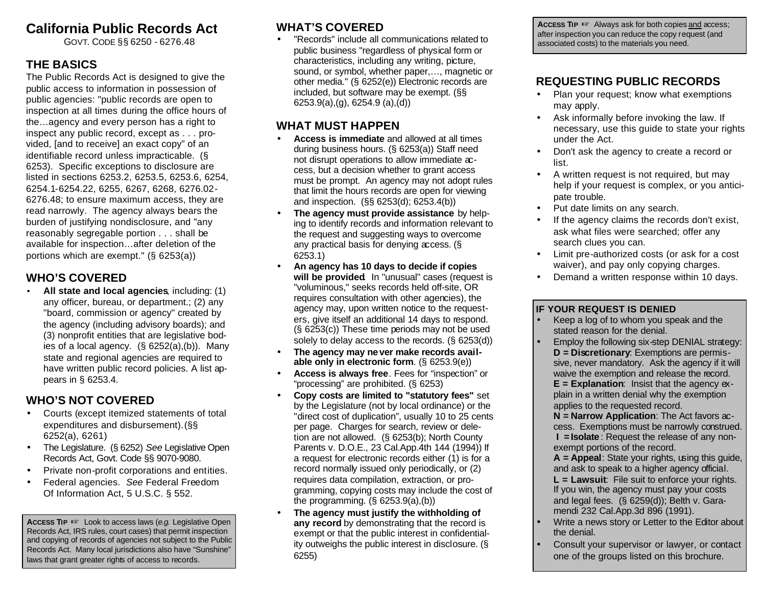# **California Public Records Act**

GOVT. CODE §§ 6250 - 6276.48

## **THE BASICS**

The Public Records Act is designed to give the public access to information in possession of public agencies: "public records are open to inspection at all times during the office hours of the…agency and every person has a right to inspect any public record, except as . . . provided, [and to receive] an exact copy" of an identifiable record unless impracticable. (§ 6253). Specific exceptions to disclosure are listed in sections 6253.2, 6253.5, 6253.6, 6254, 6254.1-6254.22, 6255, 6267, 6268, 6276.02- 6276.48; to ensure maximum access, they are read narrowly. The agency always bears the burden of justifying nondisclosure, and "any reasonably segregable portion . . . shall be available for inspection…after deletion of the portions which are exempt." (§ 6253(a))

## **WHO'S COVERED**

• **All state and local agencies**, including: (1) any officer, bureau, or department.; (2) any "board, commission or agency" created by the agency (including advisory boards); and (3) nonprofit entities that are legislative bodies of a local agency. (§ 6252(a),(b)). Many state and regional agencies are required to have written public record policies. A list appears in § 6253.4.

## **WHO'S NOT COVERED**

- Courts (except itemized statements of total expenditures and disbursement).(§§ 6252(a), 6261)
- The Legislature. (§ 6252) *See* Legislative Open Records Act, Govt. Code §§ 9070-9080.
- Private non-profit corporations and entities.
- Federal agencies. *See* Federal Freedom Of Information Act, 5 U.S.C. § 552.

**ACCESS TIP** LLook to access laws (*e.g.* Legislative Open Records Act, IRS rules, court cases) that permit inspection and copying of records of agencies not subject to the Public Records Act. Many local jurisdictions also have "Sunshine" laws that grant greater rights of access to records.

## **WHAT'S COVERED**

• "Records" include all communications related to public business "regardless of physical form or characteristics, including any writing, picture, sound, or symbol, whether paper,…, magnetic or other media." (§ 6252(e)) Electronic records are included, but software may be exempt. (§§ 6253.9(a),(g), 6254.9 (a),(d))

## **WHAT MUST HAPPEN**

- **Access is immediate** and allowed at all times during business hours. (§ 6253(a)) Staff need not disrupt operations to allow immediate access, but a decision whether to grant access must be prompt. An agency may not adopt rules that limit the hours records are open for viewing and inspection. (§§ 6253(d); 6253.4(b))
- **The agency must provide assistance** by helping to identify records and information relevant to the request and suggesting ways to overcome any practical basis for denying access. (§ 6253.1)
- **An agency has 10 days to decide if copies will be provided**. In "unusual" cases (request is "voluminous," seeks records held off-site, OR requires consultation with other agencies), the agency may, upon written notice to the requesters, give itself an additional 14 days to respond. (§ 6253(c)) These time periods may not be used solely to delay access to the records. (§ 6253(d))
- **The agency may never make records available only in electronic form**. (§ 6253.9(e))
- **Access is always free**. Fees for "inspection" or "processing" are prohibited. (§ 6253)
- **Copy costs are limited to "statutory fees"** set by the Legislature (not by local ordinance) or the "direct cost of duplication", usually 10 to 25 cents per page. Charges for search, review or deletion are not allowed. (§ 6253(b); North County Parents v. D.O.E., 23 Cal.App.4th 144 (1994)) If a request for electronic records either (1) is for a record normally issued only periodically, or (2) requires data compilation, extraction, or programming, copying costs may include the cost of the programming. (§ 6253.9(a),(b))
- **The agency must justify the withholding of any record** by demonstrating that the record is exempt or that the public interest in confidentiality outweighs the public interest in disclosure. (§ 6255)

**ACCESS TIP Ex** Always ask for both copies and access; after inspection you can reduce the copy request (and associated costs) to the materials you need.

## **REQUESTING PUBLIC RECORDS**

- Plan your request; know what exemptions may apply.
- Ask informally before invoking the law. If necessary, use this guide to state your rights under the Act.
- Don't ask the agency to create a record or list.
- A written request is not required, but may help if your request is complex, or you anticipate trouble.
- Put date limits on any search.
- If the agency claims the records don't exist, ask what files were searched; offer any search clues you can.
- Limit pre-authorized costs (or ask for a cost waiver), and pay only copying charges.
- Demand a written response within 10 days.

## **IF YOUR REQUEST IS DENIED**

- Keep a log of to whom you speak and the stated reason for the denial.
- Employ the following six-step DENIAL strategy: **D = Discretionary**: Exemptions are permissive, never mandatory. Ask the agency if it will waive the exemption and release the record. **E = Explanation**: Insist that the agency explain in a written denial why the exemption applies to the requested record.
	- **N = Narrow Application**: The Act favors access. Exemptions must be narrowly construed. **I =Isolate**: Request the release of any nonexempt portions of the record.
	- **A = Appeal**: State your rights, using this guide, and ask to speak to a higher agency official.
	- **L = Lawsuit**: File suit to enforce your rights. If you win, the agency must pay your costs and legal fees. (§ 6259(d)); Belth v. Garamendi 232 Cal.App.3d 896 (1991).
- Write a news story or Letter to the Editor about the denial.
- Consult your supervisor or lawyer, or contact one of the groups listed on this brochure.